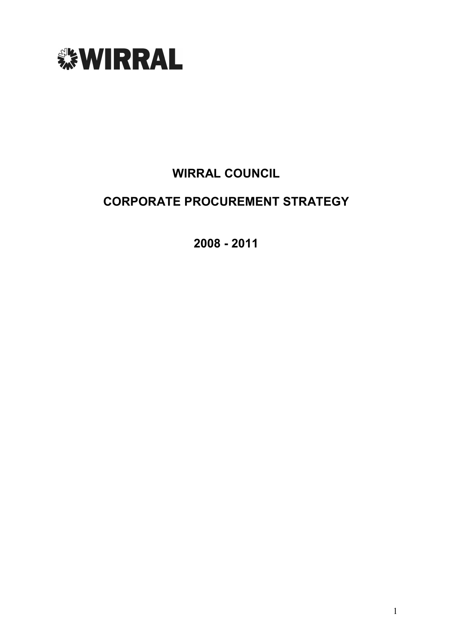

# WIRRAL COUNCIL

# CORPORATE PROCUREMENT STRATEGY

2008 - 2011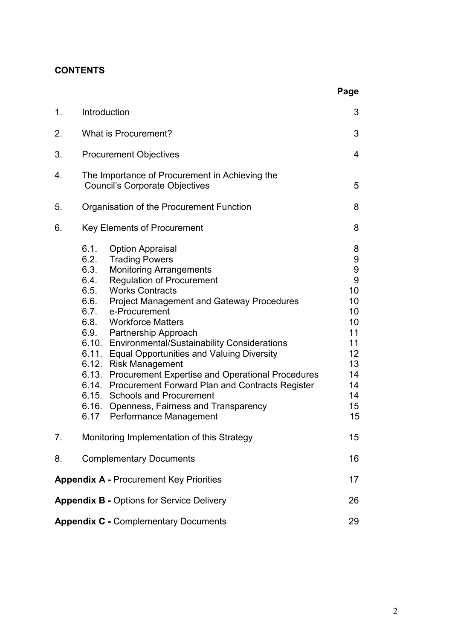### **CONTENTS**

|                                                  |                                      |                                                                                                                                                                                                                                                                                                                                                                                                                                                                                                                                                                                                                                           | Page                                                                                                          |
|--------------------------------------------------|--------------------------------------|-------------------------------------------------------------------------------------------------------------------------------------------------------------------------------------------------------------------------------------------------------------------------------------------------------------------------------------------------------------------------------------------------------------------------------------------------------------------------------------------------------------------------------------------------------------------------------------------------------------------------------------------|---------------------------------------------------------------------------------------------------------------|
| 1.                                               |                                      | Introduction                                                                                                                                                                                                                                                                                                                                                                                                                                                                                                                                                                                                                              | 3                                                                                                             |
| 2.                                               |                                      | What is Procurement?                                                                                                                                                                                                                                                                                                                                                                                                                                                                                                                                                                                                                      | 3                                                                                                             |
| 3.                                               |                                      | <b>Procurement Objectives</b>                                                                                                                                                                                                                                                                                                                                                                                                                                                                                                                                                                                                             | 4                                                                                                             |
| 4.                                               |                                      | The Importance of Procurement in Achieving the<br><b>Council's Corporate Objectives</b>                                                                                                                                                                                                                                                                                                                                                                                                                                                                                                                                                   | 5                                                                                                             |
| 5.                                               |                                      | Organisation of the Procurement Function                                                                                                                                                                                                                                                                                                                                                                                                                                                                                                                                                                                                  | 8                                                                                                             |
| 6.                                               |                                      | <b>Key Elements of Procurement</b>                                                                                                                                                                                                                                                                                                                                                                                                                                                                                                                                                                                                        | 8                                                                                                             |
|                                                  | 6.1.<br>6.3.<br>6.4.<br>6.5.<br>6.9. | <b>Option Appraisal</b><br>6.2. Trading Powers<br><b>Monitoring Arrangements</b><br><b>Regulation of Procurement</b><br><b>Works Contracts</b><br>6.6. Project Management and Gateway Procedures<br>6.7. e-Procurement<br>6.8. Workforce Matters<br>Partnership Approach<br>6.10. Environmental/Sustainability Considerations<br>6.11. Equal Opportunities and Valuing Diversity<br>6.12. Risk Management<br>6.13. Procurement Expertise and Operational Procedures<br>6.14. Procurement Forward Plan and Contracts Register<br>6.15. Schools and Procurement<br>6.16. Openness, Fairness and Transparency<br>6.17 Performance Management | 8<br>9<br>$\boldsymbol{9}$<br>9<br>10<br>10<br>10<br>10<br>11<br>11<br>12<br>13<br>14<br>14<br>14<br>15<br>15 |
| 7.                                               |                                      | Monitoring Implementation of this Strategy                                                                                                                                                                                                                                                                                                                                                                                                                                                                                                                                                                                                | 15                                                                                                            |
| 8.                                               |                                      | <b>Complementary Documents</b>                                                                                                                                                                                                                                                                                                                                                                                                                                                                                                                                                                                                            | 16                                                                                                            |
|                                                  |                                      | <b>Appendix A - Procurement Key Priorities</b>                                                                                                                                                                                                                                                                                                                                                                                                                                                                                                                                                                                            | 17                                                                                                            |
| <b>Appendix B - Options for Service Delivery</b> |                                      |                                                                                                                                                                                                                                                                                                                                                                                                                                                                                                                                                                                                                                           | 26                                                                                                            |
|                                                  |                                      | <b>Appendix C - Complementary Documents</b>                                                                                                                                                                                                                                                                                                                                                                                                                                                                                                                                                                                               | 29                                                                                                            |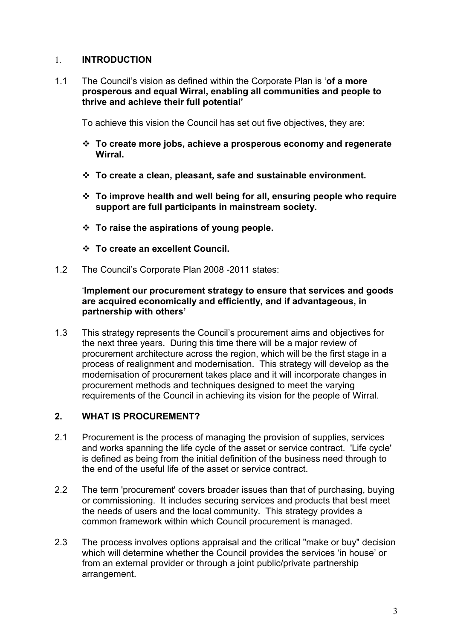#### 1. INTRODUCTION

1.1 The Council's vision as defined within the Corporate Plan is 'of a more prosperous and equal Wirral, enabling all communities and people to thrive and achieve their full potential'

To achieve this vision the Council has set out five objectives, they are:

- $\div$  To create more jobs, achieve a prosperous economy and regenerate Wirral.
- $\div$  To create a clean, pleasant, safe and sustainable environment.
- $\cdot$  To improve health and well being for all, ensuring people who require support are full participants in mainstream society.
- $\div$  To raise the aspirations of young people.
- v To create an excellent Council.
- 1.2 The Council's Corporate Plan 2008 -2011 states:

#### 'Implement our procurement strategy to ensure that services and goods are acquired economically and efficiently, and if advantageous, in partnership with others'

1.3 This strategy represents the Council's procurement aims and objectives for the next three years. During this time there will be a major review of procurement architecture across the region, which will be the first stage in a process of realignment and modernisation. This strategy will develop as the modernisation of procurement takes place and it will incorporate changes in procurement methods and techniques designed to meet the varying requirements of the Council in achieving its vision for the people of Wirral.

#### 2. WHAT IS PROCUREMENT?

- 2.1 Procurement is the process of managing the provision of supplies, services and works spanning the life cycle of the asset or service contract. 'Life cycle' is defined as being from the initial definition of the business need through to the end of the useful life of the asset or service contract.
- 2.2 The term 'procurement' covers broader issues than that of purchasing, buying or commissioning. It includes securing services and products that best meet the needs of users and the local community. This strategy provides a common framework within which Council procurement is managed.
- 2.3 The process involves options appraisal and the critical "make or buy" decision which will determine whether the Council provides the services 'in house' or from an external provider or through a joint public/private partnership arrangement.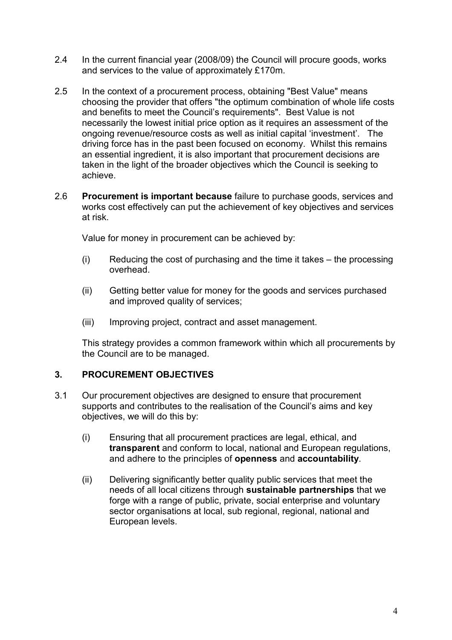- 2.4 In the current financial year (2008/09) the Council will procure goods, works and services to the value of approximately £170m.
- 2.5 In the context of a procurement process, obtaining "Best Value" means choosing the provider that offers "the optimum combination of whole life costs and benefits to meet the Council's requirements". Best Value is not necessarily the lowest initial price option as it requires an assessment of the ongoing revenue/resource costs as well as initial capital 'investment'. The driving force has in the past been focused on economy. Whilst this remains an essential ingredient, it is also important that procurement decisions are taken in the light of the broader objectives which the Council is seeking to achieve.
- 2.6 Procurement is important because failure to purchase goods, services and works cost effectively can put the achievement of key objectives and services at risk.

Value for money in procurement can be achieved by:

- (i) Reducing the cost of purchasing and the time it takes the processing overhead.
- (ii) Getting better value for money for the goods and services purchased and improved quality of services;
- (iii) Improving project, contract and asset management.

This strategy provides a common framework within which all procurements by the Council are to be managed.

#### 3. PROCUREMENT OBJECTIVES

- 3.1 Our procurement objectives are designed to ensure that procurement supports and contributes to the realisation of the Council's aims and key objectives, we will do this by:
	- (i) Ensuring that all procurement practices are legal, ethical, and transparent and conform to local, national and European regulations, and adhere to the principles of openness and accountability.
	- (ii) Delivering significantly better quality public services that meet the needs of all local citizens through sustainable partnerships that we forge with a range of public, private, social enterprise and voluntary sector organisations at local, sub regional, regional, national and European levels.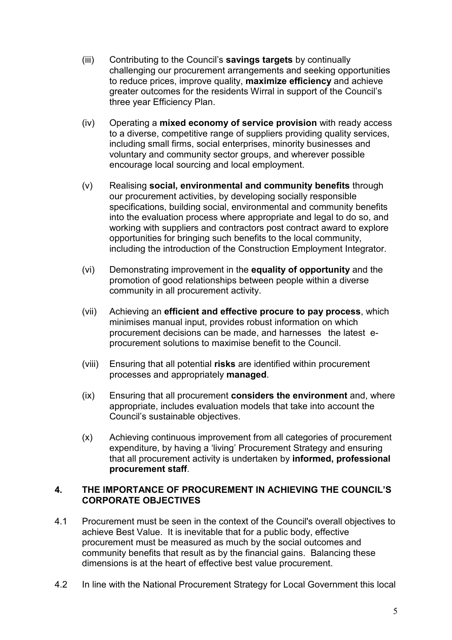- (iii) Contributing to the Council's savings targets by continually challenging our procurement arrangements and seeking opportunities to reduce prices, improve quality, maximize efficiency and achieve greater outcomes for the residents Wirral in support of the Council's three year Efficiency Plan.
- (iv) Operating a mixed economy of service provision with ready access to a diverse, competitive range of suppliers providing quality services, including small firms, social enterprises, minority businesses and voluntary and community sector groups, and wherever possible encourage local sourcing and local employment.
- (v) Realising social, environmental and community benefits through our procurement activities, by developing socially responsible specifications, building social, environmental and community benefits into the evaluation process where appropriate and legal to do so, and working with suppliers and contractors post contract award to explore opportunities for bringing such benefits to the local community, including the introduction of the Construction Employment Integrator.
- (vi) Demonstrating improvement in the equality of opportunity and the promotion of good relationships between people within a diverse community in all procurement activity.
- (vii) Achieving an efficient and effective procure to pay process, which minimises manual input, provides robust information on which procurement decisions can be made, and harnesses the latest eprocurement solutions to maximise benefit to the Council.
- (viii) Ensuring that all potential risks are identified within procurement processes and appropriately managed.
- (ix) Ensuring that all procurement considers the environment and, where appropriate, includes evaluation models that take into account the Council's sustainable objectives.
- (x) Achieving continuous improvement from all categories of procurement expenditure, by having a 'living' Procurement Strategy and ensuring that all procurement activity is undertaken by informed, professional procurement staff.

#### 4. THE IMPORTANCE OF PROCUREMENT IN ACHIEVING THE COUNCIL'S CORPORATE OBJECTIVES

- 4.1 Procurement must be seen in the context of the Council's overall objectives to achieve Best Value. It is inevitable that for a public body, effective procurement must be measured as much by the social outcomes and community benefits that result as by the financial gains. Balancing these dimensions is at the heart of effective best value procurement.
- 4.2 In line with the National Procurement Strategy for Local Government this local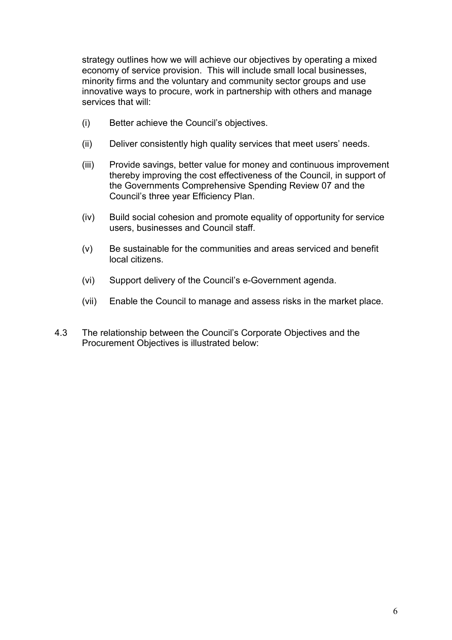strategy outlines how we will achieve our objectives by operating a mixed economy of service provision. This will include small local businesses, minority firms and the voluntary and community sector groups and use innovative ways to procure, work in partnership with others and manage services that will:

- (i) Better achieve the Council's objectives.
- (ii) Deliver consistently high quality services that meet users' needs.
- (iii) Provide savings, better value for money and continuous improvement thereby improving the cost effectiveness of the Council, in support of the Governments Comprehensive Spending Review 07 and the Council's three year Efficiency Plan.
- (iv) Build social cohesion and promote equality of opportunity for service users, businesses and Council staff.
- (v) Be sustainable for the communities and areas serviced and benefit local citizens.
- (vi) Support delivery of the Council's e-Government agenda.
- (vii) Enable the Council to manage and assess risks in the market place.
- 4.3 The relationship between the Council's Corporate Objectives and the Procurement Objectives is illustrated below: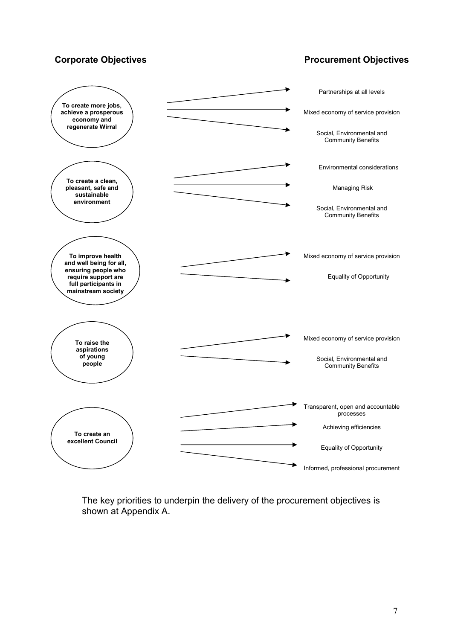#### Corporate Objectives **Procurement Objectives**



The key priorities to underpin the delivery of the procurement objectives is shown at Appendix A.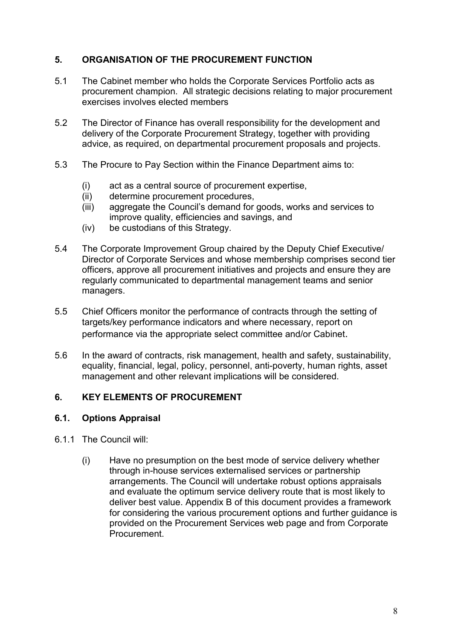#### 5. ORGANISATION OF THE PROCUREMENT FUNCTION

- 5.1 The Cabinet member who holds the Corporate Services Portfolio acts as procurement champion. All strategic decisions relating to major procurement exercises involves elected members
- 5.2 The Director of Finance has overall responsibility for the development and delivery of the Corporate Procurement Strategy, together with providing advice, as required, on departmental procurement proposals and projects.
- 5.3 The Procure to Pay Section within the Finance Department aims to:
	- (i) act as a central source of procurement expertise,
	- (ii) determine procurement procedures,
	- (iii) aggregate the Council's demand for goods, works and services to improve quality, efficiencies and savings, and
	- (iv) be custodians of this Strategy.
- 5.4 The Corporate Improvement Group chaired by the Deputy Chief Executive/ Director of Corporate Services and whose membership comprises second tier officers, approve all procurement initiatives and projects and ensure they are regularly communicated to departmental management teams and senior managers.
- 5.5 Chief Officers monitor the performance of contracts through the setting of targets/key performance indicators and where necessary, report on performance via the appropriate select committee and/or Cabinet.
- 5.6 In the award of contracts, risk management, health and safety, sustainability, equality, financial, legal, policy, personnel, anti-poverty, human rights, asset management and other relevant implications will be considered.

#### 6. KEY ELEMENTS OF PROCUREMENT

#### 6.1. Options Appraisal

- 6.1.1 The Council will:
	- (i) Have no presumption on the best mode of service delivery whether through in-house services externalised services or partnership arrangements. The Council will undertake robust options appraisals and evaluate the optimum service delivery route that is most likely to deliver best value. Appendix B of this document provides a framework for considering the various procurement options and further guidance is provided on the Procurement Services web page and from Corporate **Procurement**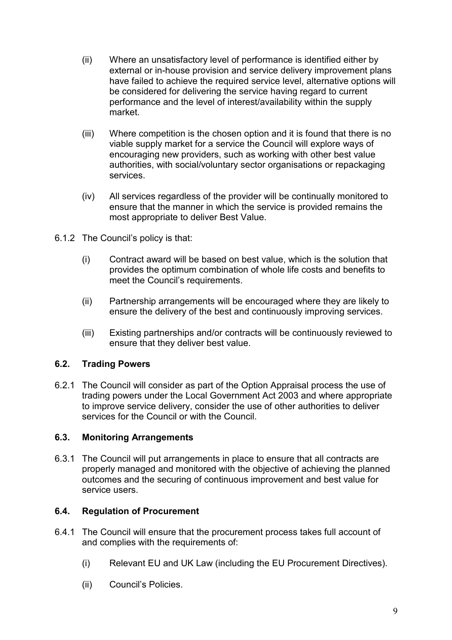- (ii) Where an unsatisfactory level of performance is identified either by external or in-house provision and service delivery improvement plans have failed to achieve the required service level, alternative options will be considered for delivering the service having regard to current performance and the level of interest/availability within the supply market.
- (iii) Where competition is the chosen option and it is found that there is no viable supply market for a service the Council will explore ways of encouraging new providers, such as working with other best value authorities, with social/voluntary sector organisations or repackaging services.
- (iv) All services regardless of the provider will be continually monitored to ensure that the manner in which the service is provided remains the most appropriate to deliver Best Value.
- 6.1.2 The Council's policy is that:
	- (i) Contract award will be based on best value, which is the solution that provides the optimum combination of whole life costs and benefits to meet the Council's requirements.
	- (ii) Partnership arrangements will be encouraged where they are likely to ensure the delivery of the best and continuously improving services.
	- (iii) Existing partnerships and/or contracts will be continuously reviewed to ensure that they deliver best value.

#### 6.2. Trading Powers

6.2.1 The Council will consider as part of the Option Appraisal process the use of trading powers under the Local Government Act 2003 and where appropriate to improve service delivery, consider the use of other authorities to deliver services for the Council or with the Council.

#### 6.3. Monitoring Arrangements

6.3.1 The Council will put arrangements in place to ensure that all contracts are properly managed and monitored with the objective of achieving the planned outcomes and the securing of continuous improvement and best value for service users.

#### 6.4. Regulation of Procurement

- 6.4.1 The Council will ensure that the procurement process takes full account of and complies with the requirements of:
	- (i) Relevant EU and UK Law (including the EU Procurement Directives).
	- (ii) Council's Policies.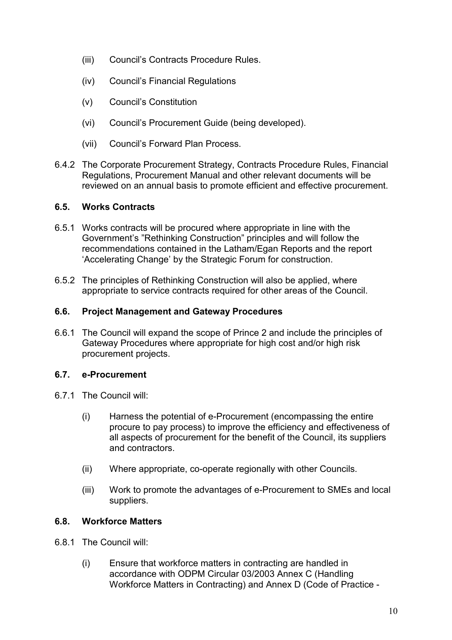- (iii) Council's Contracts Procedure Rules.
- (iv) Council's Financial Regulations
- (v) Council's Constitution
- (vi) Council's Procurement Guide (being developed).
- (vii) Council's Forward Plan Process.
- 6.4.2 The Corporate Procurement Strategy, Contracts Procedure Rules, Financial Regulations, Procurement Manual and other relevant documents will be reviewed on an annual basis to promote efficient and effective procurement.

#### 6.5. Works Contracts

- 6.5.1 Works contracts will be procured where appropriate in line with the Government's "Rethinking Construction" principles and will follow the recommendations contained in the Latham/Egan Reports and the report 'Accelerating Change' by the Strategic Forum for construction.
- 6.5.2 The principles of Rethinking Construction will also be applied, where appropriate to service contracts required for other areas of the Council.

#### 6.6. Project Management and Gateway Procedures

6.6.1 The Council will expand the scope of Prince 2 and include the principles of Gateway Procedures where appropriate for high cost and/or high risk procurement projects.

#### 6.7. e-Procurement

- 6.7.1 The Council will:
	- (i) Harness the potential of e-Procurement (encompassing the entire procure to pay process) to improve the efficiency and effectiveness of all aspects of procurement for the benefit of the Council, its suppliers and contractors.
	- (ii) Where appropriate, co-operate regionally with other Councils.
	- (iii) Work to promote the advantages of e-Procurement to SMEs and local suppliers.

#### 6.8. Workforce Matters

- 6.8.1 The Council will:
	- (i) Ensure that workforce matters in contracting are handled in accordance with ODPM Circular 03/2003 Annex C (Handling Workforce Matters in Contracting) and Annex D (Code of Practice -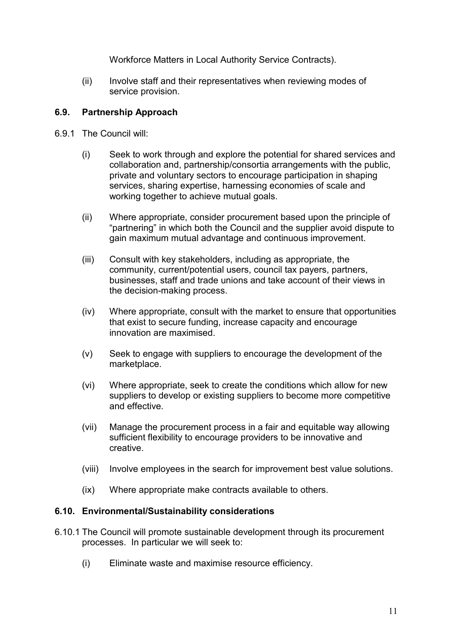Workforce Matters in Local Authority Service Contracts).

(ii) Involve staff and their representatives when reviewing modes of service provision.

#### 6.9. Partnership Approach

- 6.9.1 The Council will:
	- (i) Seek to work through and explore the potential for shared services and collaboration and, partnership/consortia arrangements with the public, private and voluntary sectors to encourage participation in shaping services, sharing expertise, harnessing economies of scale and working together to achieve mutual goals.
	- (ii) Where appropriate, consider procurement based upon the principle of "partnering" in which both the Council and the supplier avoid dispute to gain maximum mutual advantage and continuous improvement.
	- (iii) Consult with key stakeholders, including as appropriate, the community, current/potential users, council tax payers, partners, businesses, staff and trade unions and take account of their views in the decision-making process.
	- (iv) Where appropriate, consult with the market to ensure that opportunities that exist to secure funding, increase capacity and encourage innovation are maximised.
	- (v) Seek to engage with suppliers to encourage the development of the marketplace.
	- (vi) Where appropriate, seek to create the conditions which allow for new suppliers to develop or existing suppliers to become more competitive and effective.
	- (vii) Manage the procurement process in a fair and equitable way allowing sufficient flexibility to encourage providers to be innovative and creative.
	- (viii) Involve employees in the search for improvement best value solutions.
	- (ix) Where appropriate make contracts available to others.

#### 6.10. Environmental/Sustainability considerations

- 6.10.1 The Council will promote sustainable development through its procurement processes. In particular we will seek to:
	- (i) Eliminate waste and maximise resource efficiency.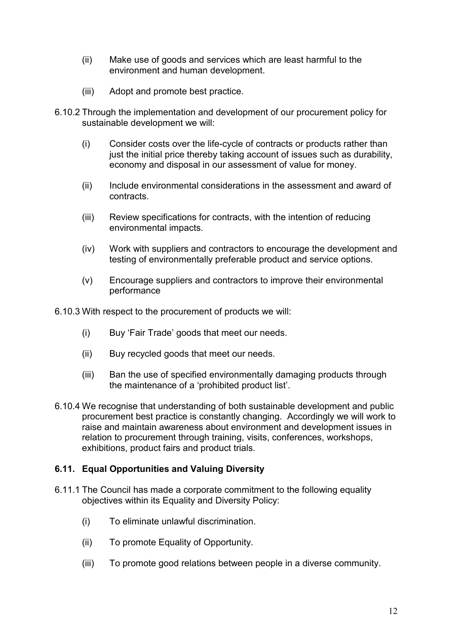- (ii) Make use of goods and services which are least harmful to the environment and human development.
- (iii) Adopt and promote best practice.
- 6.10.2 Through the implementation and development of our procurement policy for sustainable development we will:
	- (i) Consider costs over the life-cycle of contracts or products rather than just the initial price thereby taking account of issues such as durability. economy and disposal in our assessment of value for money.
	- (ii) Include environmental considerations in the assessment and award of contracts.
	- (iii) Review specifications for contracts, with the intention of reducing environmental impacts.
	- (iv) Work with suppliers and contractors to encourage the development and testing of environmentally preferable product and service options.
	- (v) Encourage suppliers and contractors to improve their environmental performance

6.10.3 With respect to the procurement of products we will:

- (i) Buy 'Fair Trade' goods that meet our needs.
- (ii) Buy recycled goods that meet our needs.
- (iii) Ban the use of specified environmentally damaging products through the maintenance of a 'prohibited product list'.
- 6.10.4 We recognise that understanding of both sustainable development and public procurement best practice is constantly changing. Accordingly we will work to raise and maintain awareness about environment and development issues in relation to procurement through training, visits, conferences, workshops, exhibitions, product fairs and product trials.

#### 6.11. Equal Opportunities and Valuing Diversity

- 6.11.1 The Council has made a corporate commitment to the following equality objectives within its Equality and Diversity Policy:
	- (i) To eliminate unlawful discrimination.
	- (ii) To promote Equality of Opportunity.
	- (iii) To promote good relations between people in a diverse community.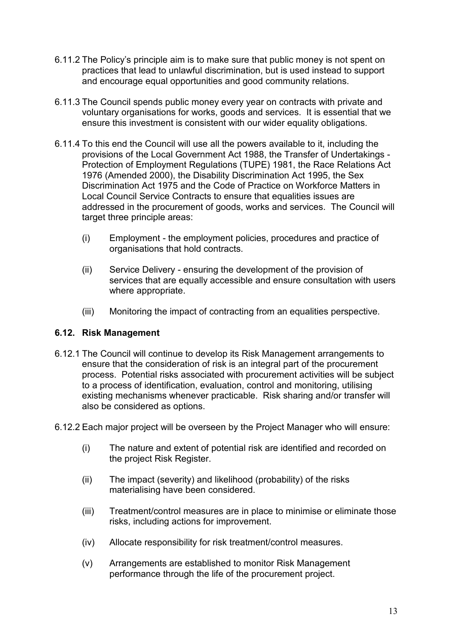- 6.11.2 The Policy's principle aim is to make sure that public money is not spent on practices that lead to unlawful discrimination, but is used instead to support and encourage equal opportunities and good community relations.
- 6.11.3 The Council spends public money every year on contracts with private and voluntary organisations for works, goods and services. It is essential that we ensure this investment is consistent with our wider equality obligations.
- 6.11.4 To this end the Council will use all the powers available to it, including the provisions of the Local Government Act 1988, the Transfer of Undertakings - Protection of Employment Regulations (TUPE) 1981, the Race Relations Act 1976 (Amended 2000), the Disability Discrimination Act 1995, the Sex Discrimination Act 1975 and the Code of Practice on Workforce Matters in Local Council Service Contracts to ensure that equalities issues are addressed in the procurement of goods, works and services. The Council will target three principle areas:
	- (i) Employment the employment policies, procedures and practice of organisations that hold contracts.
	- (ii) Service Delivery ensuring the development of the provision of services that are equally accessible and ensure consultation with users where appropriate.
	- (iii) Monitoring the impact of contracting from an equalities perspective.

#### 6.12. Risk Management

- 6.12.1 The Council will continue to develop its Risk Management arrangements to ensure that the consideration of risk is an integral part of the procurement process. Potential risks associated with procurement activities will be subject to a process of identification, evaluation, control and monitoring, utilising existing mechanisms whenever practicable. Risk sharing and/or transfer will also be considered as options.
- 6.12.2 Each major project will be overseen by the Project Manager who will ensure:
	- (i) The nature and extent of potential risk are identified and recorded on the project Risk Register.
	- (ii) The impact (severity) and likelihood (probability) of the risks materialising have been considered.
	- (iii) Treatment/control measures are in place to minimise or eliminate those risks, including actions for improvement.
	- (iv) Allocate responsibility for risk treatment/control measures.
	- (v) Arrangements are established to monitor Risk Management performance through the life of the procurement project.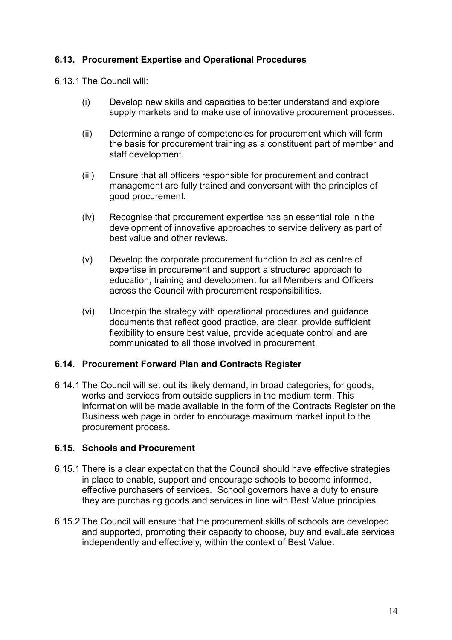#### 6.13. Procurement Expertise and Operational Procedures

6.13.1 The Council will:

- (i) Develop new skills and capacities to better understand and explore supply markets and to make use of innovative procurement processes.
- (ii) Determine a range of competencies for procurement which will form the basis for procurement training as a constituent part of member and staff development.
- (iii) Ensure that all officers responsible for procurement and contract management are fully trained and conversant with the principles of good procurement.
- (iv) Recognise that procurement expertise has an essential role in the development of innovative approaches to service delivery as part of best value and other reviews.
- (v) Develop the corporate procurement function to act as centre of expertise in procurement and support a structured approach to education, training and development for all Members and Officers across the Council with procurement responsibilities.
- (vi) Underpin the strategy with operational procedures and guidance documents that reflect good practice, are clear, provide sufficient flexibility to ensure best value, provide adequate control and are communicated to all those involved in procurement.

#### 6.14. Procurement Forward Plan and Contracts Register

6.14.1 The Council will set out its likely demand, in broad categories, for goods, works and services from outside suppliers in the medium term. This information will be made available in the form of the Contracts Register on the Business web page in order to encourage maximum market input to the procurement process.

#### 6.15. Schools and Procurement

- 6.15.1 There is a clear expectation that the Council should have effective strategies in place to enable, support and encourage schools to become informed, effective purchasers of services. School governors have a duty to ensure they are purchasing goods and services in line with Best Value principles.
- 6.15.2 The Council will ensure that the procurement skills of schools are developed and supported, promoting their capacity to choose, buy and evaluate services independently and effectively, within the context of Best Value.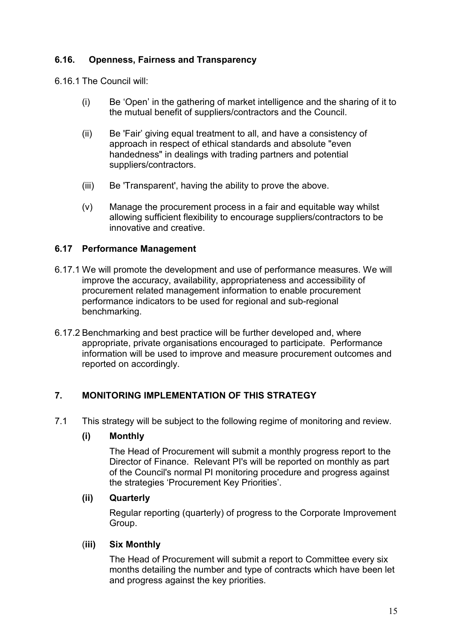#### 6.16. Openness, Fairness and Transparency

6.16.1 The Council will:

- (i) Be 'Open' in the gathering of market intelligence and the sharing of it to the mutual benefit of suppliers/contractors and the Council.
- (ii) Be 'Fair' giving equal treatment to all, and have a consistency of approach in respect of ethical standards and absolute "even handedness" in dealings with trading partners and potential suppliers/contractors.
- (iii) Be 'Transparent', having the ability to prove the above.
- (v) Manage the procurement process in a fair and equitable way whilst allowing sufficient flexibility to encourage suppliers/contractors to be innovative and creative.

#### 6.17 Performance Management

- 6.17.1 We will promote the development and use of performance measures. We will improve the accuracy, availability, appropriateness and accessibility of procurement related management information to enable procurement performance indicators to be used for regional and sub-regional benchmarking.
- 6.17.2 Benchmarking and best practice will be further developed and, where appropriate, private organisations encouraged to participate. Performance information will be used to improve and measure procurement outcomes and reported on accordingly.

#### 7. MONITORING IMPLEMENTATION OF THIS STRATEGY

7.1 This strategy will be subject to the following regime of monitoring and review.

#### (i) Monthly

The Head of Procurement will submit a monthly progress report to the Director of Finance. Relevant PI's will be reported on monthly as part of the Council's normal PI monitoring procedure and progress against the strategies 'Procurement Key Priorities'.

#### (ii) Quarterly

Regular reporting (quarterly) of progress to the Corporate Improvement Group.

#### (iii) Six Monthly

The Head of Procurement will submit a report to Committee every six months detailing the number and type of contracts which have been let and progress against the key priorities.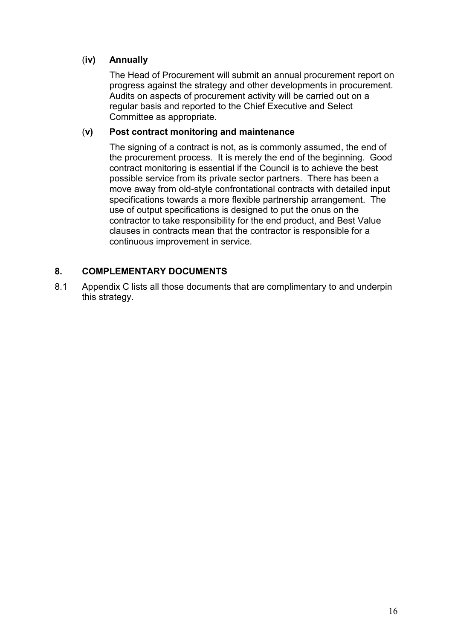#### (iv) Annually

The Head of Procurement will submit an annual procurement report on progress against the strategy and other developments in procurement. Audits on aspects of procurement activity will be carried out on a regular basis and reported to the Chief Executive and Select Committee as appropriate.

#### (v) Post contract monitoring and maintenance

The signing of a contract is not, as is commonly assumed, the end of the procurement process. It is merely the end of the beginning. Good contract monitoring is essential if the Council is to achieve the best possible service from its private sector partners. There has been a move away from old-style confrontational contracts with detailed input specifications towards a more flexible partnership arrangement. The use of output specifications is designed to put the onus on the contractor to take responsibility for the end product, and Best Value clauses in contracts mean that the contractor is responsible for a continuous improvement in service.

#### 8. COMPLEMENTARY DOCUMENTS

8.1 Appendix C lists all those documents that are complimentary to and underpin this strategy.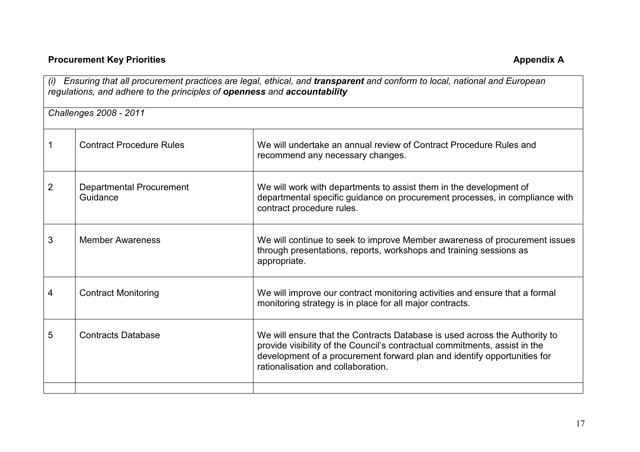## **Procurement Key Priorities**

| Ensuring that all procurement practices are legal, ethical, and transparent and conform to local, national and European<br>(i)<br>regulations, and adhere to the principles of openness and accountability |                                             |                                                                                                                                                                                                                                                                            |
|------------------------------------------------------------------------------------------------------------------------------------------------------------------------------------------------------------|---------------------------------------------|----------------------------------------------------------------------------------------------------------------------------------------------------------------------------------------------------------------------------------------------------------------------------|
|                                                                                                                                                                                                            | Challenges 2008 - 2011                      |                                                                                                                                                                                                                                                                            |
|                                                                                                                                                                                                            | <b>Contract Procedure Rules</b>             | We will undertake an annual review of Contract Procedure Rules and<br>recommend any necessary changes.                                                                                                                                                                     |
| $\overline{2}$                                                                                                                                                                                             | <b>Departmental Procurement</b><br>Guidance | We will work with departments to assist them in the development of<br>departmental specific guidance on procurement processes, in compliance with<br>contract procedure rules.                                                                                             |
| 3                                                                                                                                                                                                          | <b>Member Awareness</b>                     | We will continue to seek to improve Member awareness of procurement issues<br>through presentations, reports, workshops and training sessions as<br>appropriate.                                                                                                           |
| 4                                                                                                                                                                                                          | <b>Contract Monitoring</b>                  | We will improve our contract monitoring activities and ensure that a formal<br>monitoring strategy is in place for all major contracts.                                                                                                                                    |
| 5                                                                                                                                                                                                          | <b>Contracts Database</b>                   | We will ensure that the Contracts Database is used across the Authority to<br>provide visibility of the Council's contractual commitments, assist in the<br>development of a procurement forward plan and identify opportunities for<br>rationalisation and collaboration. |
|                                                                                                                                                                                                            |                                             |                                                                                                                                                                                                                                                                            |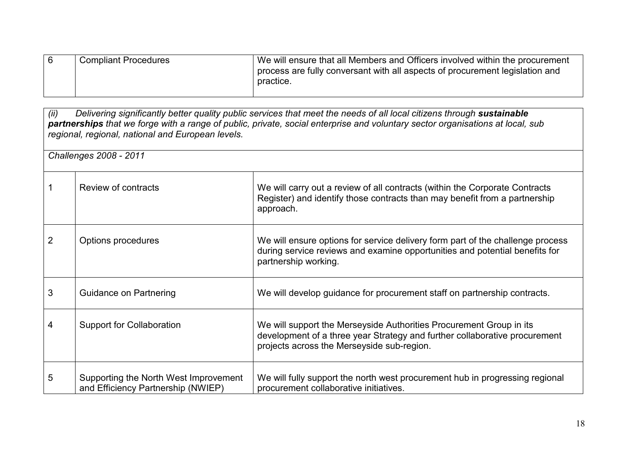| <b>Compliant Procedures</b> | We will ensure that all Members and Officers involved within the procurement |
|-----------------------------|------------------------------------------------------------------------------|
|                             | process are fully conversant with all aspects of procurement legislation and |
|                             | practice.                                                                    |
|                             |                                                                              |

| (ii)<br>Delivering significantly better quality public services that meet the needs of all local citizens through sustainable<br>partnerships that we forge with a range of public, private, social enterprise and voluntary sector organisations at local, sub<br>regional, regional, national and European levels. |                                                                             |                                                                                                                                                                                                 |  |
|----------------------------------------------------------------------------------------------------------------------------------------------------------------------------------------------------------------------------------------------------------------------------------------------------------------------|-----------------------------------------------------------------------------|-------------------------------------------------------------------------------------------------------------------------------------------------------------------------------------------------|--|
|                                                                                                                                                                                                                                                                                                                      | Challenges 2008 - 2011                                                      |                                                                                                                                                                                                 |  |
|                                                                                                                                                                                                                                                                                                                      | Review of contracts                                                         | We will carry out a review of all contracts (within the Corporate Contracts<br>Register) and identify those contracts than may benefit from a partnership<br>approach.                          |  |
| 2                                                                                                                                                                                                                                                                                                                    | Options procedures                                                          | We will ensure options for service delivery form part of the challenge process<br>during service reviews and examine opportunities and potential benefits for<br>partnership working.           |  |
| 3                                                                                                                                                                                                                                                                                                                    | Guidance on Partnering                                                      | We will develop guidance for procurement staff on partnership contracts.                                                                                                                        |  |
| 4                                                                                                                                                                                                                                                                                                                    | <b>Support for Collaboration</b>                                            | We will support the Merseyside Authorities Procurement Group in its<br>development of a three year Strategy and further collaborative procurement<br>projects across the Merseyside sub-region. |  |
| 5                                                                                                                                                                                                                                                                                                                    | Supporting the North West Improvement<br>and Efficiency Partnership (NWIEP) | We will fully support the north west procurement hub in progressing regional<br>procurement collaborative initiatives.                                                                          |  |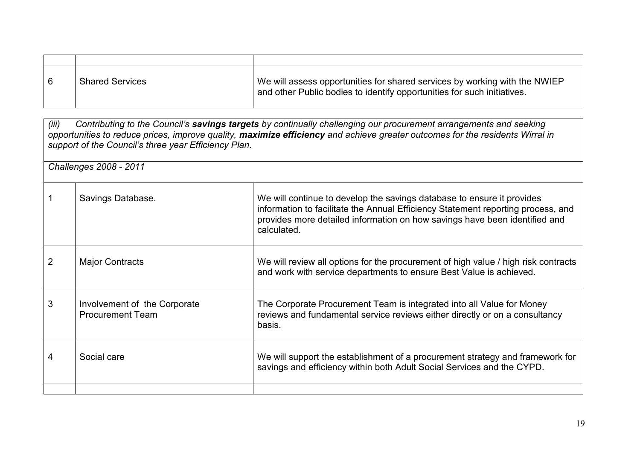| 6 | <b>Shared Services</b> | We will assess opportunities for shared services by working with the NWIEP<br>and other Public bodies to identify opportunities for such initiatives. |
|---|------------------------|-------------------------------------------------------------------------------------------------------------------------------------------------------|

(iii) Contributing to the Council's savings targets by continually challenging our procurement arrangements and seeking opportunities to reduce prices, improve quality, maximize efficiency and achieve greater outcomes for the residents Wirral in support of the Council's three year Efficiency Plan.

Challenges 2008 - 2011

|   | Savings Database.                                       | We will continue to develop the savings database to ensure it provides<br>information to facilitate the Annual Efficiency Statement reporting process, and<br>provides more detailed information on how savings have been identified and<br>calculated. |
|---|---------------------------------------------------------|---------------------------------------------------------------------------------------------------------------------------------------------------------------------------------------------------------------------------------------------------------|
| 2 | <b>Major Contracts</b>                                  | We will review all options for the procurement of high value / high risk contracts<br>and work with service departments to ensure Best Value is achieved.                                                                                               |
| 3 | Involvement of the Corporate<br><b>Procurement Team</b> | The Corporate Procurement Team is integrated into all Value for Money<br>reviews and fundamental service reviews either directly or on a consultancy<br>basis.                                                                                          |
| 4 | Social care                                             | We will support the establishment of a procurement strategy and framework for<br>savings and efficiency within both Adult Social Services and the CYPD.                                                                                                 |
|   |                                                         |                                                                                                                                                                                                                                                         |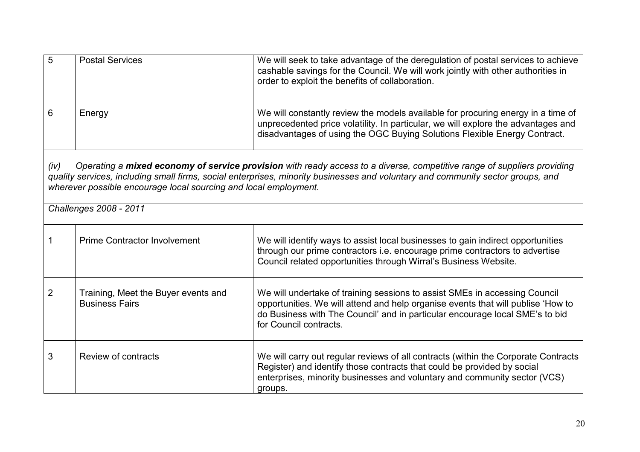| 5    | <b>Postal Services</b>                                           | We will seek to take advantage of the deregulation of postal services to achieve<br>cashable savings for the Council. We will work jointly with other authorities in<br>order to exploit the benefits of collaboration.                                                  |
|------|------------------------------------------------------------------|--------------------------------------------------------------------------------------------------------------------------------------------------------------------------------------------------------------------------------------------------------------------------|
| 6    | Energy                                                           | We will constantly review the models available for procuring energy in a time of<br>unprecedented price volatility. In particular, we will explore the advantages and<br>disadvantages of using the OGC Buying Solutions Flexible Energy Contract.                       |
| (iv) | wherever possible encourage local sourcing and local employment. | Operating a mixed economy of service provision with ready access to a diverse, competitive range of suppliers providing<br>quality services, including small firms, social enterprises, minority businesses and voluntary and community sector groups, and               |
|      | Challenges 2008 - 2011                                           |                                                                                                                                                                                                                                                                          |
| 1    | <b>Prime Contractor Involvement</b>                              | We will identify ways to assist local businesses to gain indirect opportunities<br>through our prime contractors i.e. encourage prime contractors to advertise<br>Council related opportunities through Wirral's Business Website.                                       |
| 2    | Training, Meet the Buyer events and<br><b>Business Fairs</b>     | We will undertake of training sessions to assist SMEs in accessing Council<br>opportunities. We will attend and help organise events that will publise 'How to<br>do Business with The Council' and in particular encourage local SME's to bid<br>for Council contracts. |
| 3    | Review of contracts                                              | We will carry out regular reviews of all contracts (within the Corporate Contracts<br>Register) and identify those contracts that could be provided by social<br>enterprises, minority businesses and voluntary and community sector (VCS)<br>groups.                    |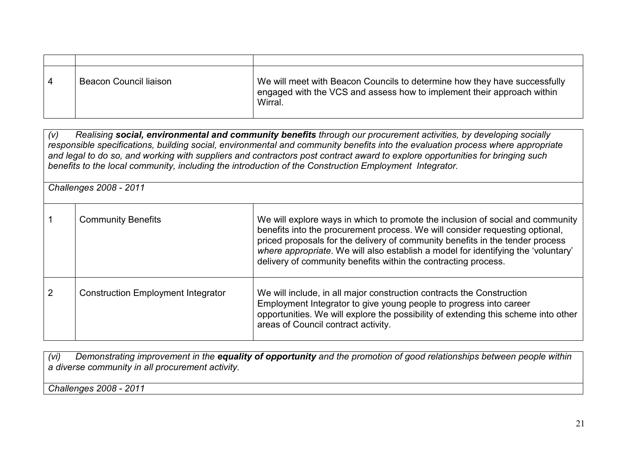| -4 | <b>Beacon Council liaison</b> | We will meet with Beacon Councils to determine how they have successfully<br>engaged with the VCS and assess how to implement their approach within<br>Wirral. |
|----|-------------------------------|----------------------------------------------------------------------------------------------------------------------------------------------------------------|

(v) Realising social, environmental and community benefits through our procurement activities, by developing socially responsible specifications, building social, environmental and community benefits into the evaluation process where appropriate and legal to do so, and working with suppliers and contractors post contract award to explore opportunities for bringing such benefits to the local community, including the introduction of the Construction Employment Integrator.

Challenges 2008 - 2011

| -1             | <b>Community Benefits</b>                 | We will explore ways in which to promote the inclusion of social and community<br>benefits into the procurement process. We will consider requesting optional,<br>priced proposals for the delivery of community benefits in the tender process<br>where appropriate. We will also establish a model for identifying the 'voluntary'<br>delivery of community benefits within the contracting process. |
|----------------|-------------------------------------------|--------------------------------------------------------------------------------------------------------------------------------------------------------------------------------------------------------------------------------------------------------------------------------------------------------------------------------------------------------------------------------------------------------|
| $\overline{2}$ | <b>Construction Employment Integrator</b> | We will include, in all major construction contracts the Construction<br>Employment Integrator to give young people to progress into career<br>opportunities. We will explore the possibility of extending this scheme into other<br>areas of Council contract activity.                                                                                                                               |

(vi) Demonstrating improvement in the equality of opportunity and the promotion of good relationships between people within a diverse community in all procurement activity.

Challenges 2008 - 2011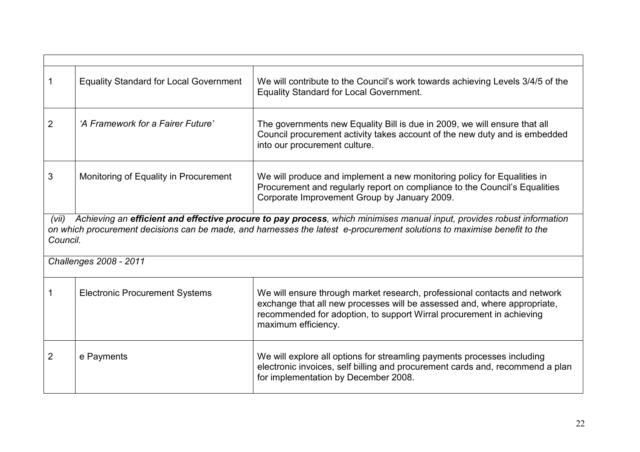|                                                                                                                                                                                                                                                                        | <b>Equality Standard for Local Government</b> | We will contribute to the Council's work towards achieving Levels 3/4/5 of the<br><b>Equality Standard for Local Government.</b>                                                                                                                     |
|------------------------------------------------------------------------------------------------------------------------------------------------------------------------------------------------------------------------------------------------------------------------|-----------------------------------------------|------------------------------------------------------------------------------------------------------------------------------------------------------------------------------------------------------------------------------------------------------|
| $\overline{2}$                                                                                                                                                                                                                                                         | 'A Framework for a Fairer Future'             | The governments new Equality Bill is due in 2009, we will ensure that all<br>Council procurement activity takes account of the new duty and is embedded<br>into our procurement culture.                                                             |
| 3                                                                                                                                                                                                                                                                      | Monitoring of Equality in Procurement         | We will produce and implement a new monitoring policy for Equalities in<br>Procurement and regularly report on compliance to the Council's Equalities<br>Corporate Improvement Group by January 2009.                                                |
| Achieving an efficient and effective procure to pay process, which minimises manual input, provides robust information<br>(vii)<br>on which procurement decisions can be made, and harnesses the latest e-procurement solutions to maximise benefit to the<br>Council. |                                               |                                                                                                                                                                                                                                                      |
| Challenges 2008 - 2011                                                                                                                                                                                                                                                 |                                               |                                                                                                                                                                                                                                                      |
| 1                                                                                                                                                                                                                                                                      | <b>Electronic Procurement Systems</b>         | We will ensure through market research, professional contacts and network<br>exchange that all new processes will be assessed and, where appropriate,<br>recommended for adoption, to support Wirral procurement in achieving<br>maximum efficiency. |
| 2                                                                                                                                                                                                                                                                      | e Payments                                    | We will explore all options for streamling payments processes including<br>electronic invoices, self billing and procurement cards and, recommend a plan<br>for implementation by December 2008.                                                     |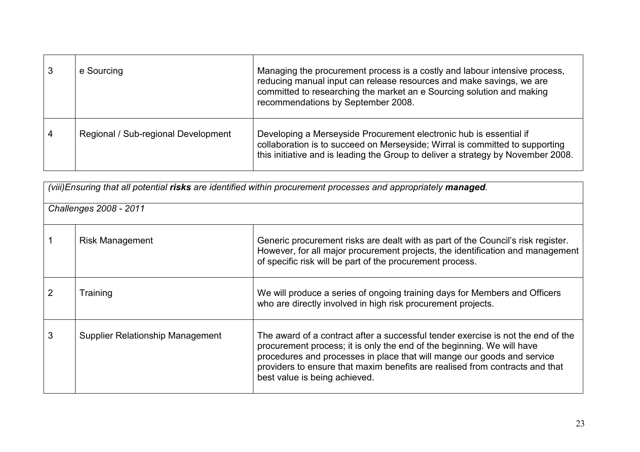|                | e Sourcing                          | Managing the procurement process is a costly and labour intensive process,<br>reducing manual input can release resources and make savings, we are<br>committed to researching the market an e Sourcing solution and making<br>recommendations by September 2008. |
|----------------|-------------------------------------|-------------------------------------------------------------------------------------------------------------------------------------------------------------------------------------------------------------------------------------------------------------------|
| $\overline{4}$ | Regional / Sub-regional Development | Developing a Merseyside Procurement electronic hub is essential if<br>collaboration is to succeed on Merseyside; Wirral is committed to supporting<br>this initiative and is leading the Group to deliver a strategy by November 2008.                            |

| (viii)Ensuring that all potential risks are identified within procurement processes and appropriately managed. |                                  |                                                                                                                                                                                                                                                                                                                                                        |
|----------------------------------------------------------------------------------------------------------------|----------------------------------|--------------------------------------------------------------------------------------------------------------------------------------------------------------------------------------------------------------------------------------------------------------------------------------------------------------------------------------------------------|
| Challenges 2008 - 2011                                                                                         |                                  |                                                                                                                                                                                                                                                                                                                                                        |
|                                                                                                                | <b>Risk Management</b>           | Generic procurement risks are dealt with as part of the Council's risk register.<br>However, for all major procurement projects, the identification and management<br>of specific risk will be part of the procurement process.                                                                                                                        |
|                                                                                                                | Training                         | We will produce a series of ongoing training days for Members and Officers<br>who are directly involved in high risk procurement projects.                                                                                                                                                                                                             |
| 3                                                                                                              | Supplier Relationship Management | The award of a contract after a successful tender exercise is not the end of the<br>procurement process; it is only the end of the beginning. We will have<br>procedures and processes in place that will mange our goods and service<br>providers to ensure that maxim benefits are realised from contracts and that<br>best value is being achieved. |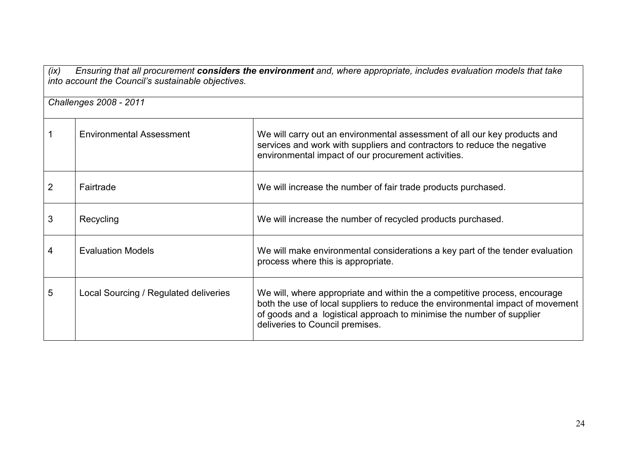(ix) Ensuring that all procurement **considers the environment** and, where appropriate, includes evaluation models that take<br>into account the Council's sustainable objectives.

Challenges 2008 - 2011

|                | <b>Environmental Assessment</b>       | We will carry out an environmental assessment of all our key products and<br>services and work with suppliers and contractors to reduce the negative<br>environmental impact of our procurement activities.                                                              |
|----------------|---------------------------------------|--------------------------------------------------------------------------------------------------------------------------------------------------------------------------------------------------------------------------------------------------------------------------|
| $\overline{2}$ | Fairtrade                             | We will increase the number of fair trade products purchased.                                                                                                                                                                                                            |
| 3              | Recycling                             | We will increase the number of recycled products purchased.                                                                                                                                                                                                              |
| 4              | <b>Evaluation Models</b>              | We will make environmental considerations a key part of the tender evaluation<br>process where this is appropriate.                                                                                                                                                      |
| 5              | Local Sourcing / Regulated deliveries | We will, where appropriate and within the a competitive process, encourage<br>both the use of local suppliers to reduce the environmental impact of movement<br>of goods and a logistical approach to minimise the number of supplier<br>deliveries to Council premises. |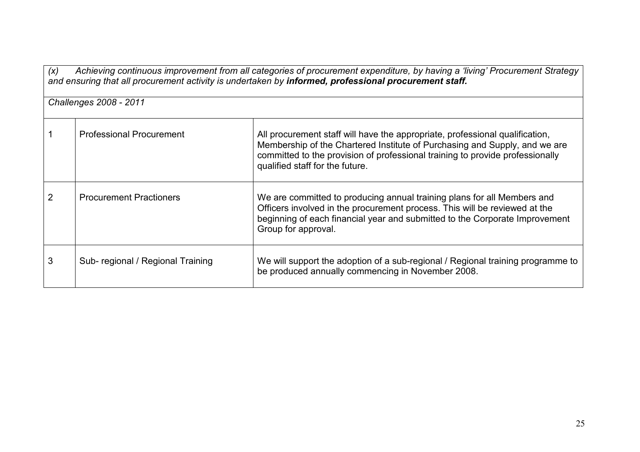| Achieving continuous improvement from all categories of procurement expenditure, by having a 'living' Procurement Strategy<br>(x)<br>and ensuring that all procurement activity is undertaken by informed, professional procurement staff. |                                  |                                                                                                                                                                                                                                                                                |  |
|--------------------------------------------------------------------------------------------------------------------------------------------------------------------------------------------------------------------------------------------|----------------------------------|--------------------------------------------------------------------------------------------------------------------------------------------------------------------------------------------------------------------------------------------------------------------------------|--|
| Challenges 2008 - 2011                                                                                                                                                                                                                     |                                  |                                                                                                                                                                                                                                                                                |  |
|                                                                                                                                                                                                                                            | <b>Professional Procurement</b>  | All procurement staff will have the appropriate, professional qualification,<br>Membership of the Chartered Institute of Purchasing and Supply, and we are<br>committed to the provision of professional training to provide professionally<br>qualified staff for the future. |  |
|                                                                                                                                                                                                                                            | <b>Procurement Practioners</b>   | We are committed to producing annual training plans for all Members and<br>Officers involved in the procurement process. This will be reviewed at the<br>beginning of each financial year and submitted to the Corporate Improvement<br>Group for approval.                    |  |
| 3                                                                                                                                                                                                                                          | Sub-regional / Regional Training | We will support the adoption of a sub-regional / Regional training programme to<br>be produced annually commencing in November 2008.                                                                                                                                           |  |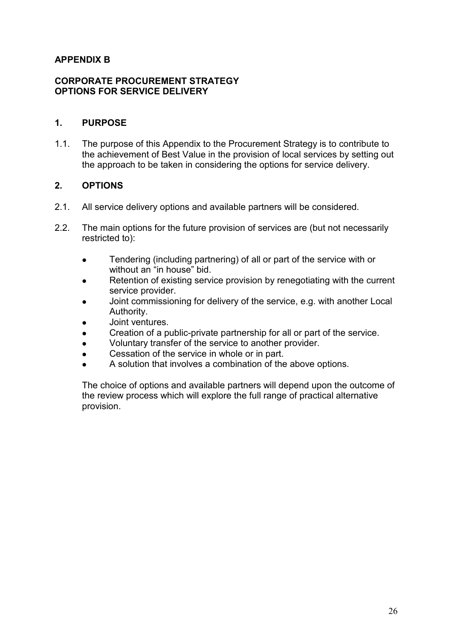#### APPENDIX B

#### CORPORATE PROCUREMENT STRATEGY OPTIONS FOR SERVICE DELIVERY

#### 1. PURPOSE

1.1. The purpose of this Appendix to the Procurement Strategy is to contribute to the achievement of Best Value in the provision of local services by setting out the approach to be taken in considering the options for service delivery.

#### 2. OPTIONS

- 2.1. All service delivery options and available partners will be considered.
- 2.2. The main options for the future provision of services are (but not necessarily restricted to):
	- Tendering (including partnering) of all or part of the service with or without an "in house" bid.
	- Retention of existing service provision by renegotiating with the current service provider.
	- Joint commissioning for delivery of the service, e.g. with another Local Authority.
	- Joint ventures.
	- Creation of a public-private partnership for all or part of the service.
	- <sup>l</sup> Voluntary transfer of the service to another provider.
	- Cessation of the service in whole or in part.
	- A solution that involves a combination of the above options.

The choice of options and available partners will depend upon the outcome of the review process which will explore the full range of practical alternative provision.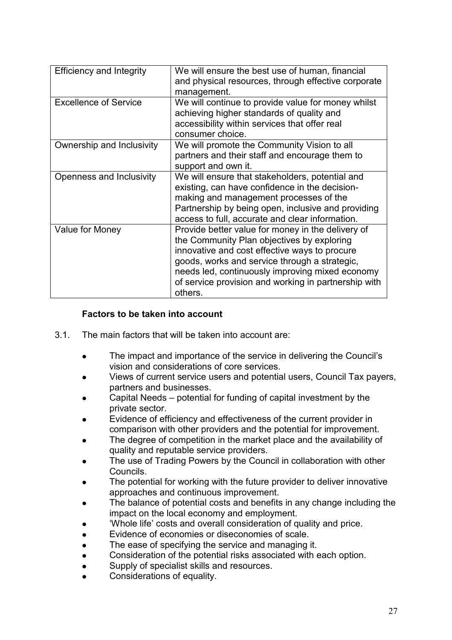| <b>Efficiency and Integrity</b> | We will ensure the best use of human, financial<br>and physical resources, through effective corporate<br>management.                                                                                                                                                                                                   |
|---------------------------------|-------------------------------------------------------------------------------------------------------------------------------------------------------------------------------------------------------------------------------------------------------------------------------------------------------------------------|
| <b>Excellence of Service</b>    | We will continue to provide value for money whilst<br>achieving higher standards of quality and<br>accessibility within services that offer real<br>consumer choice.                                                                                                                                                    |
| Ownership and Inclusivity       | We will promote the Community Vision to all<br>partners and their staff and encourage them to<br>support and own it.                                                                                                                                                                                                    |
| Openness and Inclusivity        | We will ensure that stakeholders, potential and<br>existing, can have confidence in the decision-<br>making and management processes of the<br>Partnership by being open, inclusive and providing<br>access to full, accurate and clear information.                                                                    |
| Value for Money                 | Provide better value for money in the delivery of<br>the Community Plan objectives by exploring<br>innovative and cost effective ways to procure<br>goods, works and service through a strategic,<br>needs led, continuously improving mixed economy<br>of service provision and working in partnership with<br>others. |

#### Factors to be taken into account

- 3.1. The main factors that will be taken into account are:
	- The impact and importance of the service in delivering the Council's vision and considerations of core services.
	- <sup>l</sup> Views of current service users and potential users, Council Tax payers, partners and businesses.
	- Capital Needs potential for funding of capital investment by the private sector.
	- Evidence of efficiency and effectiveness of the current provider in comparison with other providers and the potential for improvement.
	- The degree of competition in the market place and the availability of quality and reputable service providers.
	- The use of Trading Powers by the Council in collaboration with other Councils.
	- The potential for working with the future provider to deliver innovative approaches and continuous improvement.
	- The balance of potential costs and benefits in any change including the impact on the local economy and employment.
	- 'Whole life' costs and overall consideration of quality and price.
	- Evidence of economies or diseconomies of scale.
	- The ease of specifying the service and managing it.
	- Consideration of the potential risks associated with each option.
	- Supply of specialist skills and resources.
	- Considerations of equality.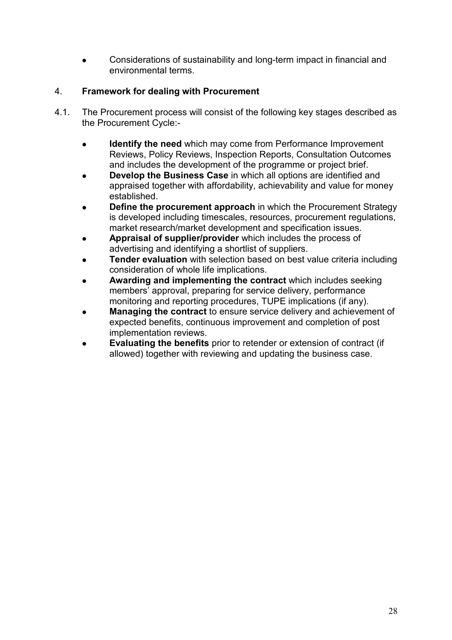<sup>l</sup> Considerations of sustainability and long-term impact in financial and environmental terms.

#### 4. Framework for dealing with Procurement

- 4.1. The Procurement process will consist of the following key stages described as the Procurement Cycle:-
	- **.** Identify the need which may come from Performance Improvement Reviews, Policy Reviews, Inspection Reports, Consultation Outcomes and includes the development of the programme or project brief.
	- Develop the Business Case in which all options are identified and appraised together with affordability, achievability and value for money established.
	- **Define the procurement approach in which the Procurement Strategy** is developed including timescales, resources, procurement regulations, market research/market development and specification issues.
	- Appraisal of supplier/provider which includes the process of advertising and identifying a shortlist of suppliers.
	- **Tender evaluation** with selection based on best value criteria including consideration of whole life implications.
	- Awarding and implementing the contract which includes seeking members' approval, preparing for service delivery, performance monitoring and reporting procedures, TUPE implications (if any).
	- Managing the contract to ensure service delivery and achievement of expected benefits, continuous improvement and completion of post implementation reviews.
	- **Evaluating the benefits** prior to retender or extension of contract (if allowed) together with reviewing and updating the business case.